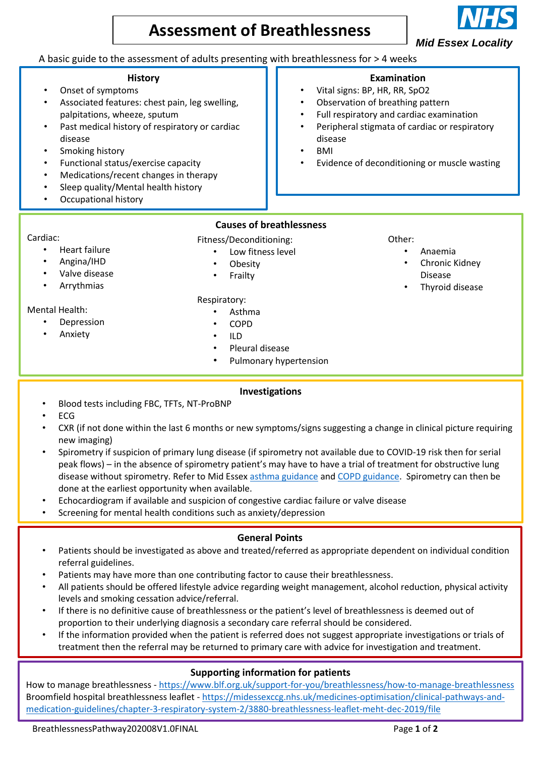# **Assessment of Breathlessness**

*Mid Essex Locality*

# A basic guide to the assessment of adults presenting with breathlessness for > 4 weeks

#### **History**

- Onset of symptoms
- Associated features: chest pain, leg swelling, palpitations, wheeze, sputum
- Past medical history of respiratory or cardiac disease
- Smoking history
- Functional status/exercise capacity
- Medications/recent changes in therapy
- Sleep quality/Mental health history
- Occupational history

## **Causes of breathlessness**

- Cardiac:
	- Heart failure
	- Angina/IHD
	- Valve disease
	- **Arrythmias**

#### Mental Health:

- **Depression**
- Anxiety

• Low fitness level **Obesity** 

Fitness/Deconditioning:

- 
- **Frailty**
- Respiratory:
	- Asthma
	- COPD
	- ILD
	- Pleural disease
	- Pulmonary hypertension

## **Investigations**

- Blood tests including FBC, TFTs, NT-ProBNP
- ECG
- CXR (if not done within the last 6 months or new symptoms/signs suggesting a change in clinical picture requiring new imaging)
- Spirometry if suspicion of primary lung disease (if spirometry not available due to COVID-19 risk then for serial peak flows) – in the absence of spirometry patient's may have to have a trial of treatment for obstructive lung disease without spirometry. Refer to Mid Essex [asthma guidance](https://midessexccg.nhs.uk/medicines-optimisation/clinical-pathways-and-medication-guidelines/chapter-3-respiratory-system-2/258-chronic-asthma-in-adults-july-2013-1/file) and [COPD guidance.](https://midessexccg.nhs.uk/medicines-optimisation/clinical-pathways-and-medication-guidelines/chapter-3-respiratory-system-2/1213-management-of-stable-copd-september-2019-1/file) Spirometry can then be done at the earliest opportunity when available.
- Echocardiogram if available and suspicion of congestive cardiac failure or valve disease
- Screening for mental health conditions such as anxiety/depression

## **General Points**

- Patients should be investigated as above and treated/referred as appropriate dependent on individual condition referral guidelines.
- Patients may have more than one contributing factor to cause their breathlessness.
- All patients should be offered lifestyle advice regarding weight management, alcohol reduction, physical activity levels and smoking cessation advice/referral.
- If there is no definitive cause of breathlessness or the patient's level of breathlessness is deemed out of proportion to their underlying diagnosis a secondary care referral should be considered.
- If the information provided when the patient is referred does not suggest appropriate investigations or trials of treatment then the referral may be returned to primary care with advice for investigation and treatment.

# **Supporting information for patients**

How to manage breathlessness - <https://www.blf.org.uk/support-for-you/breathlessness/how-to-manage-breathlessness> Broomfield hospital breathlessness leaflet - [https://midessexccg.nhs.uk/medicines-optimisation/clinical-pathways-and](https://midessexccg.nhs.uk/medicines-optimisation/clinical-pathways-and-medication-guidelines/chapter-3-respiratory-system-2/3880-breathlessness-leaflet-meht-dec-2019/file)[medication-guidelines/chapter-3-respiratory-system-2/3880-breathlessness-leaflet-meht-dec-2019/file](https://midessexccg.nhs.uk/medicines-optimisation/clinical-pathways-and-medication-guidelines/chapter-3-respiratory-system-2/3880-breathlessness-leaflet-meht-dec-2019/file)

BreathlessnessPathway202008V1.0FINAL Page 1 of 2

- Vital signs: BP, HR, RR, SpO2
- Observation of breathing pattern
- Full respiratory and cardiac examination
- Peripheral stigmata of cardiac or respiratory disease
- BMI
- Evidence of deconditioning or muscle wasting



#### Other:

- Anaemia
- Chronic Kidney Disease
- Thyroid disease